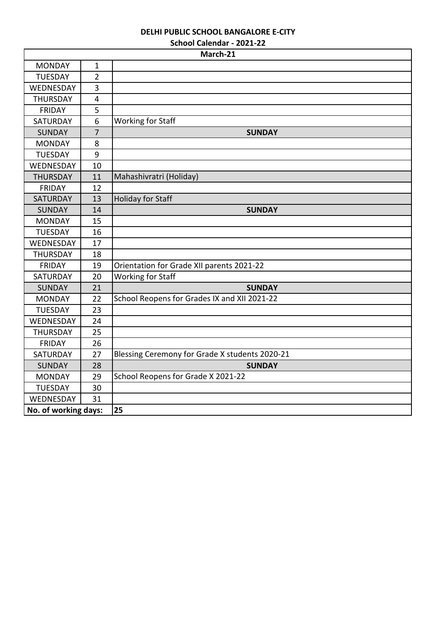# **DELHI PUBLIC SCHOOL BANGALORE E-CITY**

| School Calendar - 2021-22 |  |
|---------------------------|--|
|---------------------------|--|

|                      |                         | March-21                                       |
|----------------------|-------------------------|------------------------------------------------|
| <b>MONDAY</b>        | $\mathbf{1}$            |                                                |
| <b>TUESDAY</b>       | $\overline{2}$          |                                                |
| WEDNESDAY            | 3                       |                                                |
| <b>THURSDAY</b>      | $\overline{\mathbf{4}}$ |                                                |
| <b>FRIDAY</b>        | 5                       |                                                |
| SATURDAY             | 6                       | <b>Working for Staff</b>                       |
| <b>SUNDAY</b>        | $\overline{7}$          | <b>SUNDAY</b>                                  |
| <b>MONDAY</b>        | 8                       |                                                |
| <b>TUESDAY</b>       | 9                       |                                                |
| WEDNESDAY            | 10                      |                                                |
| <b>THURSDAY</b>      | 11                      | Mahashivratri (Holiday)                        |
| <b>FRIDAY</b>        | 12                      |                                                |
| <b>SATURDAY</b>      | 13                      | <b>Holiday for Staff</b>                       |
| <b>SUNDAY</b>        | 14                      | <b>SUNDAY</b>                                  |
| <b>MONDAY</b>        | 15                      |                                                |
| <b>TUESDAY</b>       | 16                      |                                                |
| WEDNESDAY            | 17                      |                                                |
| <b>THURSDAY</b>      | 18                      |                                                |
| <b>FRIDAY</b>        | 19                      | Orientation for Grade XII parents 2021-22      |
| SATURDAY             | 20                      | Working for Staff                              |
| <b>SUNDAY</b>        | 21                      | <b>SUNDAY</b>                                  |
| <b>MONDAY</b>        | 22                      | School Reopens for Grades IX and XII 2021-22   |
| <b>TUESDAY</b>       | 23                      |                                                |
| WEDNESDAY            | 24                      |                                                |
| <b>THURSDAY</b>      | 25                      |                                                |
| <b>FRIDAY</b>        | 26                      |                                                |
| SATURDAY             | 27                      | Blessing Ceremony for Grade X students 2020-21 |
| <b>SUNDAY</b>        | 28                      | <b>SUNDAY</b>                                  |
| <b>MONDAY</b>        | 29                      | School Reopens for Grade X 2021-22             |
| <b>TUESDAY</b>       | 30                      |                                                |
| WEDNESDAY            | 31                      |                                                |
| No. of working days: |                         | 25                                             |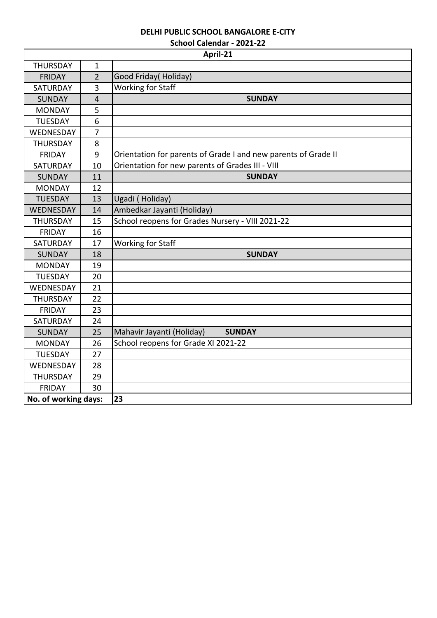## **DELHI PUBLIC SCHOOL BANGALORE E-CITY**

|  | School Calendar - 2021-22 |  |
|--|---------------------------|--|
|--|---------------------------|--|

|                      |                | April-21                                                       |
|----------------------|----------------|----------------------------------------------------------------|
| <b>THURSDAY</b>      | $\mathbf{1}$   |                                                                |
| <b>FRIDAY</b>        | $\overline{2}$ | Good Friday(Holiday)                                           |
| SATURDAY             | 3              | <b>Working for Staff</b>                                       |
| <b>SUNDAY</b>        | $\overline{4}$ | <b>SUNDAY</b>                                                  |
| <b>MONDAY</b>        | 5              |                                                                |
| <b>TUESDAY</b>       | 6              |                                                                |
| WEDNESDAY            | $\overline{7}$ |                                                                |
| <b>THURSDAY</b>      | 8              |                                                                |
| <b>FRIDAY</b>        | 9              | Orientation for parents of Grade I and new parents of Grade II |
| SATURDAY             | 10             | Orientation for new parents of Grades III - VIII               |
| <b>SUNDAY</b>        | 11             | <b>SUNDAY</b>                                                  |
| <b>MONDAY</b>        | 12             |                                                                |
| <b>TUESDAY</b>       | 13             | Ugadi (Holiday)                                                |
| WEDNESDAY            | 14             | Ambedkar Jayanti (Holiday)                                     |
| <b>THURSDAY</b>      | 15             | School reopens for Grades Nursery - VIII 2021-22               |
| <b>FRIDAY</b>        | 16             |                                                                |
| SATURDAY             | 17             | <b>Working for Staff</b>                                       |
| <b>SUNDAY</b>        | 18             | <b>SUNDAY</b>                                                  |
| <b>MONDAY</b>        | 19             |                                                                |
| <b>TUESDAY</b>       | 20             |                                                                |
| WEDNESDAY            | 21             |                                                                |
| <b>THURSDAY</b>      | 22             |                                                                |
| <b>FRIDAY</b>        | 23             |                                                                |
| SATURDAY             | 24             |                                                                |
| <b>SUNDAY</b>        | 25             | Mahavir Jayanti (Holiday)<br><b>SUNDAY</b>                     |
| <b>MONDAY</b>        | 26             | School reopens for Grade XI 2021-22                            |
| <b>TUESDAY</b>       | 27             |                                                                |
| WEDNESDAY            | 28             |                                                                |
| <b>THURSDAY</b>      | 29             |                                                                |
| <b>FRIDAY</b>        | 30             |                                                                |
| No. of working days: |                | 23                                                             |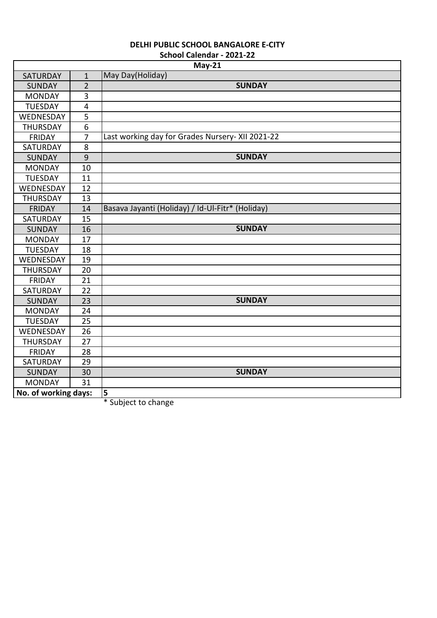|                      |                         | $May-21$                                         |
|----------------------|-------------------------|--------------------------------------------------|
| <b>SATURDAY</b>      | $\mathbf{1}$            | May Day(Holiday)                                 |
| <b>SUNDAY</b>        | $\overline{2}$          | <b>SUNDAY</b>                                    |
| <b>MONDAY</b>        | 3                       |                                                  |
| <b>TUESDAY</b>       | $\overline{\mathbf{4}}$ |                                                  |
| WEDNESDAY            | 5                       |                                                  |
| THURSDAY             | 6                       |                                                  |
| <b>FRIDAY</b>        | $\overline{7}$          | Last working day for Grades Nursery- XII 2021-22 |
| SATURDAY             | 8                       |                                                  |
| <b>SUNDAY</b>        | $\overline{9}$          | <b>SUNDAY</b>                                    |
| <b>MONDAY</b>        | 10                      |                                                  |
| <b>TUESDAY</b>       | 11                      |                                                  |
| WEDNESDAY            | 12                      |                                                  |
| THURSDAY             | 13                      |                                                  |
| <b>FRIDAY</b>        | 14                      | Basava Jayanti (Holiday) / Id-Ul-Fitr* (Holiday) |
| SATURDAY             | 15                      |                                                  |
| <b>SUNDAY</b>        | 16                      | <b>SUNDAY</b>                                    |
| <b>MONDAY</b>        | 17                      |                                                  |
| <b>TUESDAY</b>       | 18                      |                                                  |
| WEDNESDAY            | 19                      |                                                  |
| <b>THURSDAY</b>      | 20                      |                                                  |
| <b>FRIDAY</b>        | 21                      |                                                  |
| SATURDAY             | 22                      |                                                  |
| <b>SUNDAY</b>        | 23                      | <b>SUNDAY</b>                                    |
| <b>MONDAY</b>        | 24                      |                                                  |
| <b>TUESDAY</b>       | 25                      |                                                  |
| WEDNESDAY            | 26                      |                                                  |
| <b>THURSDAY</b>      | 27                      |                                                  |
| <b>FRIDAY</b>        | 28                      |                                                  |
| SATURDAY             | 29                      |                                                  |
| <b>SUNDAY</b>        | 30                      | <b>SUNDAY</b>                                    |
| <b>MONDAY</b>        | 31                      |                                                  |
| No. of working days: |                         | 5                                                |

\* Subject to change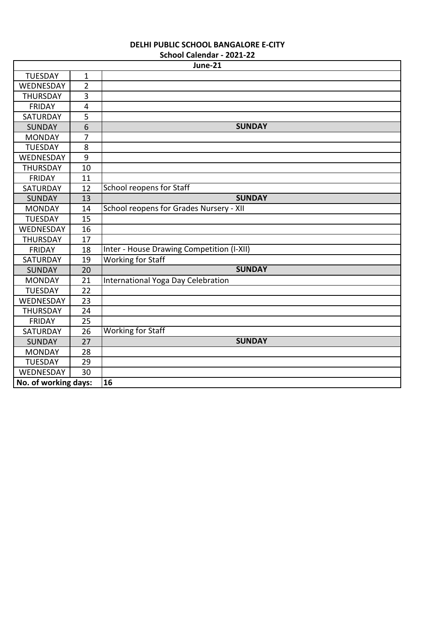|                      |                | JUIUUI LAITIUAI - ZUZI-ZZ<br>June-21      |  |
|----------------------|----------------|-------------------------------------------|--|
| <b>TUESDAY</b>       | $\mathbf 1$    |                                           |  |
| WEDNESDAY            | $\overline{2}$ |                                           |  |
| <b>THURSDAY</b>      | 3              |                                           |  |
| <b>FRIDAY</b>        | 4              |                                           |  |
| SATURDAY             | 5              |                                           |  |
| <b>SUNDAY</b>        | 6              | <b>SUNDAY</b>                             |  |
| <b>MONDAY</b>        | 7              |                                           |  |
| <b>TUESDAY</b>       | 8              |                                           |  |
| WEDNESDAY            | 9              |                                           |  |
| <b>THURSDAY</b>      | 10             |                                           |  |
| <b>FRIDAY</b>        | 11             |                                           |  |
| SATURDAY             | 12             | <b>School reopens for Staff</b>           |  |
| <b>SUNDAY</b>        | 13             | <b>SUNDAY</b>                             |  |
| <b>MONDAY</b>        | 14             | School reopens for Grades Nursery - XII   |  |
| <b>TUESDAY</b>       | 15             |                                           |  |
| WEDNESDAY            | 16             |                                           |  |
| <b>THURSDAY</b>      | 17             |                                           |  |
| <b>FRIDAY</b>        | 18             | Inter - House Drawing Competition (I-XII) |  |
| SATURDAY             | 19             | <b>Working for Staff</b>                  |  |
| <b>SUNDAY</b>        | 20             | <b>SUNDAY</b>                             |  |
| <b>MONDAY</b>        | 21             | International Yoga Day Celebration        |  |
| <b>TUESDAY</b>       | 22             |                                           |  |
| WEDNESDAY            | 23             |                                           |  |
| <b>THURSDAY</b>      | 24             |                                           |  |
| <b>FRIDAY</b>        | 25             |                                           |  |
| <b>SATURDAY</b>      | 26             | <b>Working for Staff</b>                  |  |
| <b>SUNDAY</b>        | 27             | <b>SUNDAY</b>                             |  |
| <b>MONDAY</b>        | 28             |                                           |  |
| <b>TUESDAY</b>       | 29             |                                           |  |
| WEDNESDAY            | 30             |                                           |  |
| No. of working days: |                | 16                                        |  |
|                      |                |                                           |  |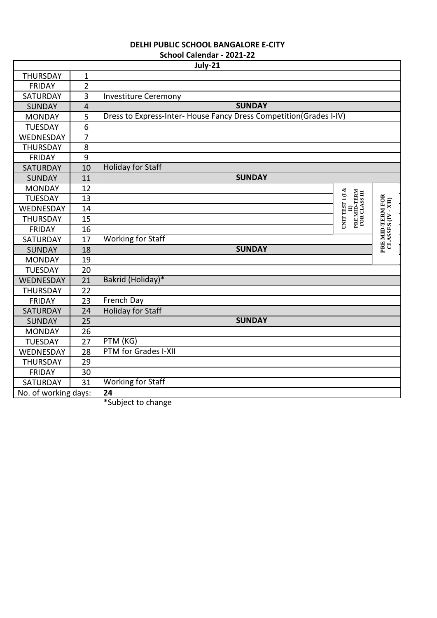|                      |                | JUIUUI CAITIUAI - ZUZI-ZZ<br>July-21                               |                                                                                                                 |                                        |
|----------------------|----------------|--------------------------------------------------------------------|-----------------------------------------------------------------------------------------------------------------|----------------------------------------|
| <b>THURSDAY</b>      | $\mathbf 1$    |                                                                    |                                                                                                                 |                                        |
| <b>FRIDAY</b>        | $\overline{2}$ |                                                                    |                                                                                                                 |                                        |
| <b>SATURDAY</b>      | 3              | <b>Investiture Ceremony</b>                                        |                                                                                                                 |                                        |
| <b>SUNDAY</b>        | $\overline{4}$ | <b>SUNDAY</b>                                                      |                                                                                                                 |                                        |
| <b>MONDAY</b>        | 5              | Dress to Express-Inter- House Fancy Dress Competition(Grades I-IV) |                                                                                                                 |                                        |
| <b>TUESDAY</b>       | 6              |                                                                    |                                                                                                                 |                                        |
| WEDNESDAY            | $\overline{7}$ |                                                                    |                                                                                                                 |                                        |
| <b>THURSDAY</b>      | 8              |                                                                    |                                                                                                                 |                                        |
| <b>FRIDAY</b>        | 9              |                                                                    |                                                                                                                 |                                        |
| <b>SATURDAY</b>      | 10             | <b>Holiday for Staff</b>                                           |                                                                                                                 |                                        |
| <b>SUNDAY</b>        | 11             | <b>SUNDAY</b>                                                      |                                                                                                                 |                                        |
| <b>MONDAY</b>        | 12             |                                                                    |                                                                                                                 |                                        |
| <b>TUESDAY</b>       | 13             |                                                                    |                                                                                                                 |                                        |
| WEDNESDAY            | 14             | <b>UNIT TEST 1 (I &amp;</b>                                        | $\begin{array}{c} \text{ID} \\ \text{PRE} \text{ MID-TERM} \\ \text{FOR} \text{ CLASS} \text{ III} \end{array}$ | PRE MID-TERM FOR<br>CLASSES (IV - XII) |
| <b>THURSDAY</b>      | 15             |                                                                    |                                                                                                                 |                                        |
| <b>FRIDAY</b>        | 16             |                                                                    |                                                                                                                 |                                        |
| SATURDAY             | 17             | <b>Working for Staff</b>                                           |                                                                                                                 |                                        |
| <b>SUNDAY</b>        | 18             | <b>SUNDAY</b>                                                      |                                                                                                                 |                                        |
| <b>MONDAY</b>        | 19             |                                                                    |                                                                                                                 |                                        |
| <b>TUESDAY</b>       | 20             |                                                                    |                                                                                                                 |                                        |
| WEDNESDAY            | 21             | Bakrid (Holiday)*                                                  |                                                                                                                 |                                        |
| <b>THURSDAY</b>      | 22             |                                                                    |                                                                                                                 |                                        |
| <b>FRIDAY</b>        | 23             | French Day                                                         |                                                                                                                 |                                        |
| SATURDAY             | 24             | <b>Holiday for Staff</b>                                           |                                                                                                                 |                                        |
| <b>SUNDAY</b>        | 25             | <b>SUNDAY</b>                                                      |                                                                                                                 |                                        |
| <b>MONDAY</b>        | 26             |                                                                    |                                                                                                                 |                                        |
| <b>TUESDAY</b>       | 27             | PTM (KG)                                                           |                                                                                                                 |                                        |
| WEDNESDAY            | 28             | PTM for Grades I-XII                                               |                                                                                                                 |                                        |
| <b>THURSDAY</b>      | 29             |                                                                    |                                                                                                                 |                                        |
| <b>FRIDAY</b>        | 30             |                                                                    |                                                                                                                 |                                        |
| <b>SATURDAY</b>      | 31             | <b>Working for Staff</b>                                           |                                                                                                                 |                                        |
| No. of working days: |                | 24                                                                 |                                                                                                                 |                                        |

\*Subject to change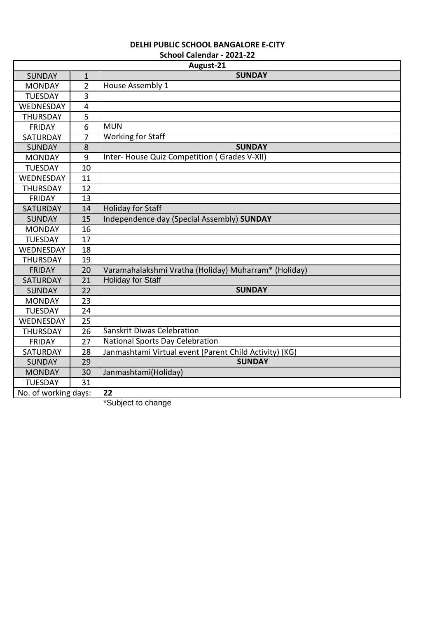|                      |                | August-21                                              |
|----------------------|----------------|--------------------------------------------------------|
| <b>SUNDAY</b>        | $\overline{1}$ | <b>SUNDAY</b>                                          |
| <b>MONDAY</b>        | $\overline{2}$ | House Assembly 1                                       |
| <b>TUESDAY</b>       | 3              |                                                        |
| WEDNESDAY            | $\overline{4}$ |                                                        |
| <b>THURSDAY</b>      | 5              |                                                        |
| <b>FRIDAY</b>        | 6              | <b>MUN</b>                                             |
| <b>SATURDAY</b>      | 7              | <b>Working for Staff</b>                               |
| <b>SUNDAY</b>        | 8              | <b>SUNDAY</b>                                          |
| <b>MONDAY</b>        | 9              | Inter- House Quiz Competition (Grades V-XII)           |
| <b>TUESDAY</b>       | 10             |                                                        |
| WEDNESDAY            | 11             |                                                        |
| <b>THURSDAY</b>      | 12             |                                                        |
| <b>FRIDAY</b>        | 13             |                                                        |
| <b>SATURDAY</b>      | 14             | <b>Holiday for Staff</b>                               |
| <b>SUNDAY</b>        | 15             | Independence day (Special Assembly) SUNDAY             |
| <b>MONDAY</b>        | 16             |                                                        |
| <b>TUESDAY</b>       | 17             |                                                        |
| WEDNESDAY            | 18             |                                                        |
| <b>THURSDAY</b>      | 19             |                                                        |
| <b>FRIDAY</b>        | 20             | Varamahalakshmi Vratha (Holiday) Muharram* (Holiday)   |
| <b>SATURDAY</b>      | 21             | <b>Holiday for Staff</b>                               |
| <b>SUNDAY</b>        | 22             | <b>SUNDAY</b>                                          |
| <b>MONDAY</b>        | 23             |                                                        |
| <b>TUESDAY</b>       | 24             |                                                        |
| WEDNESDAY            | 25             |                                                        |
| <b>THURSDAY</b>      | 26             | <b>Sanskrit Diwas Celebration</b>                      |
| <b>FRIDAY</b>        | 27             | <b>National Sports Day Celebration</b>                 |
| <b>SATURDAY</b>      | 28             | Janmashtami Virtual event (Parent Child Activity) (KG) |
| <b>SUNDAY</b>        | 29             | <b>SUNDAY</b>                                          |
| <b>MONDAY</b>        | 30             | Janmashtami(Holiday)                                   |
| <b>TUESDAY</b>       | 31             |                                                        |
| No. of working days: |                | 22                                                     |

\*Subject to change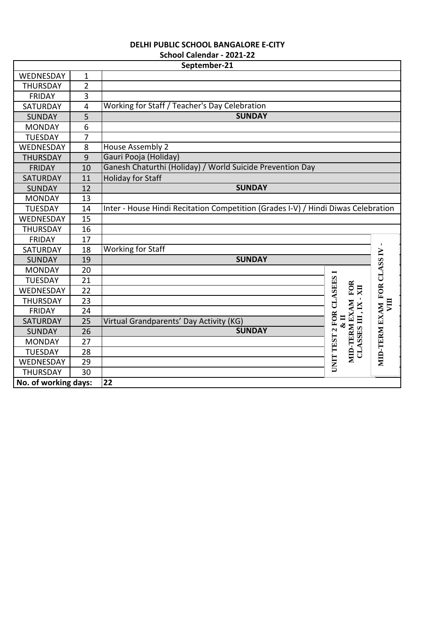| <b>DELHI PUBLIC SCHOOL BANGALORE E-CITY</b> |  |
|---------------------------------------------|--|
| School Calendar - 2021-22                   |  |

|                 |                         | September-21                                                                      |                                                                  |               |
|-----------------|-------------------------|-----------------------------------------------------------------------------------|------------------------------------------------------------------|---------------|
| WEDNESDAY       | $\mathbf{1}$            |                                                                                   |                                                                  |               |
| <b>THURSDAY</b> | $\overline{2}$          |                                                                                   |                                                                  |               |
| <b>FRIDAY</b>   | 3                       |                                                                                   |                                                                  |               |
| SATURDAY        | $\overline{\mathbf{4}}$ | Working for Staff / Teacher's Day Celebration                                     |                                                                  |               |
| <b>SUNDAY</b>   | 5                       | <b>SUNDAY</b>                                                                     |                                                                  |               |
| <b>MONDAY</b>   | 6                       |                                                                                   |                                                                  |               |
| <b>TUESDAY</b>  | $\overline{7}$          |                                                                                   |                                                                  |               |
| WEDNESDAY       | 8                       | <b>House Assembly 2</b>                                                           |                                                                  |               |
| <b>THURSDAY</b> | $\overline{9}$          | Gauri Pooja (Holiday)                                                             |                                                                  |               |
| <b>FRIDAY</b>   | 10                      | Ganesh Chaturthi (Holiday) / World Suicide Prevention Day                         |                                                                  |               |
| <b>SATURDAY</b> | 11                      | <b>Holiday for Staff</b>                                                          |                                                                  |               |
| <b>SUNDAY</b>   | 12                      | <b>SUNDAY</b>                                                                     |                                                                  |               |
| <b>MONDAY</b>   | 13                      |                                                                                   |                                                                  |               |
| <b>TUESDAY</b>  | 14                      | Inter - House Hindi Recitation Competition (Grades I-V) / Hindi Diwas Celebration |                                                                  |               |
| WEDNESDAY       | 15                      |                                                                                   |                                                                  |               |
| <b>THURSDAY</b> | 16                      |                                                                                   |                                                                  |               |
| <b>FRIDAY</b>   | 17                      |                                                                                   |                                                                  |               |
| <b>SATURDAY</b> | 18                      | <b>Working for Staff</b>                                                          |                                                                  |               |
| <b>SUNDAY</b>   | 19                      | <b>SUNDAY</b>                                                                     |                                                                  | FOR CLASS IV  |
| <b>MONDAY</b>   | 20                      |                                                                                   | $\blacksquare$                                                   |               |
| <b>TUESDAY</b>  | 21                      |                                                                                   |                                                                  |               |
| WEDNESDAY       | 22                      |                                                                                   | XII                                                              |               |
| <b>THURSDAY</b> | 23                      |                                                                                   |                                                                  | VШ            |
| <b>FRIDAY</b>   | 24                      |                                                                                   |                                                                  |               |
| <b>SATURDAY</b> | 25                      | Virtual Grandparents' Day Activity (KG)                                           | $\mathbf{K}$                                                     |               |
| <b>SUNDAY</b>   | 26                      | <b>SUNDAY</b>                                                                     |                                                                  |               |
| <b>MONDAY</b>   | 27                      |                                                                                   |                                                                  |               |
| <b>TUESDAY</b>  | 28                      |                                                                                   | UNIT TEST 2 FOR CLASEES<br>MID-TERM EXAM FOR<br>CLASSES III, IX- | MID-TERM EXAM |
| WEDNESDAY       | 29                      |                                                                                   |                                                                  |               |
|                 |                         |                                                                                   |                                                                  |               |
| <b>THURSDAY</b> | 30                      | 22                                                                                |                                                                  |               |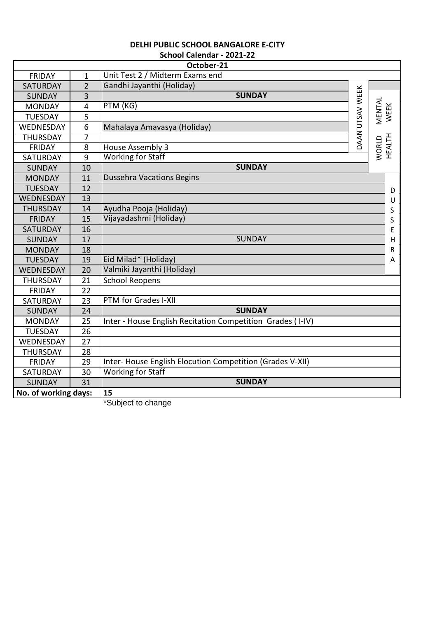|                      |                         | October-21                                                 |                 |                 |
|----------------------|-------------------------|------------------------------------------------------------|-----------------|-----------------|
| <b>FRIDAY</b>        | $\mathbf{1}$            | Unit Test 2 / Midterm Exams end                            |                 |                 |
| <b>SATURDAY</b>      | $\overline{2}$          | Gandhi Jayanthi (Holiday)                                  |                 |                 |
| <b>SUNDAY</b>        | $\overline{3}$          | <b>SUNDAY</b>                                              | DAAN UTSAV WEEK |                 |
| <b>MONDAY</b>        | $\overline{\mathbf{4}}$ | PTM (KG)                                                   |                 | MENTAL          |
| <b>TUESDAY</b>       | 5                       |                                                            |                 | <b>WEEK</b>     |
| WEDNESDAY            | $\overline{6}$          | Mahalaya Amavasya (Holiday)                                |                 |                 |
| <b>THURSDAY</b>      | 7                       |                                                            |                 |                 |
| <b>FRIDAY</b>        | 8                       | House Assembly 3                                           |                 | WORLD<br>HEALTH |
| SATURDAY             | 9                       | <b>Working for Staff</b>                                   |                 |                 |
| <b>SUNDAY</b>        | 10                      | <b>SUNDAY</b>                                              |                 |                 |
| <b>MONDAY</b>        | 11                      | <b>Dussehra Vacations Begins</b>                           |                 |                 |
| <b>TUESDAY</b>       | 12                      |                                                            |                 | D               |
| WEDNESDAY            | 13                      |                                                            |                 | U               |
| <b>THURSDAY</b>      | 14                      | Ayudha Pooja (Holiday)                                     |                 | S               |
| <b>FRIDAY</b>        | 15                      | Vijayadashmi (Holiday)                                     |                 | S               |
| <b>SATURDAY</b>      | 16                      |                                                            |                 | E               |
| <b>SUNDAY</b>        | 17                      | <b>SUNDAY</b>                                              |                 | $\sf H$         |
| <b>MONDAY</b>        | 18                      |                                                            |                 | ${\sf R}$       |
| <b>TUESDAY</b>       | 19                      | Eid Milad* (Holiday)                                       |                 | А               |
| WEDNESDAY            | 20                      | Valmiki Jayanthi (Holiday)                                 |                 |                 |
| <b>THURSDAY</b>      | 21                      | <b>School Reopens</b>                                      |                 |                 |
| <b>FRIDAY</b>        | 22                      |                                                            |                 |                 |
| SATURDAY             | 23                      | PTM for Grades I-XII                                       |                 |                 |
| <b>SUNDAY</b>        | 24                      | <b>SUNDAY</b>                                              |                 |                 |
| <b>MONDAY</b>        | 25                      | Inter - House English Recitation Competition Grades (I-IV) |                 |                 |
| <b>TUESDAY</b>       | 26                      |                                                            |                 |                 |
| WEDNESDAY            | 27                      |                                                            |                 |                 |
| <b>THURSDAY</b>      | 28                      |                                                            |                 |                 |
| <b>FRIDAY</b>        | 29                      | Inter- House English Elocution Competition (Grades V-XII)  |                 |                 |
| SATURDAY             | 30                      | <b>Working for Staff</b>                                   |                 |                 |
| <b>SUNDAY</b>        | 31                      | <b>SUNDAY</b>                                              |                 |                 |
| No. of working days: |                         | 15                                                         |                 |                 |

\*Subject to change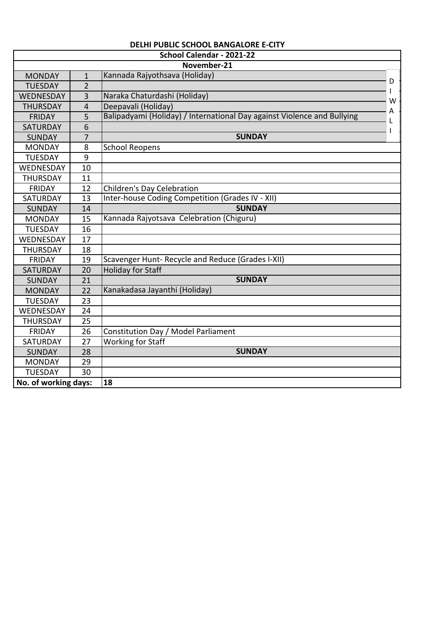|                      |                | School Calendar - 2021-22                                               |   |
|----------------------|----------------|-------------------------------------------------------------------------|---|
|                      |                | November-21                                                             |   |
| <b>MONDAY</b>        | $\mathbf{1}$   | Kannada Rajyothsava (Holiday)                                           |   |
| <b>TUESDAY</b>       | $\overline{2}$ |                                                                         | D |
| WEDNESDAY            | $\overline{3}$ | Naraka Chaturdashi (Holiday)                                            | W |
| <b>THURSDAY</b>      | 4              | Deepavali (Holiday)                                                     | А |
| <b>FRIDAY</b>        | 5              | Balipadyami (Holiday) / International Day against Violence and Bullying |   |
| <b>SATURDAY</b>      | 6              |                                                                         |   |
| <b>SUNDAY</b>        | $\overline{7}$ | <b>SUNDAY</b>                                                           |   |
| <b>MONDAY</b>        | 8              | <b>School Reopens</b>                                                   |   |
| <b>TUESDAY</b>       | 9              |                                                                         |   |
| WEDNESDAY            | 10             |                                                                         |   |
| <b>THURSDAY</b>      | 11             |                                                                         |   |
| <b>FRIDAY</b>        | 12             | Children's Day Celebration                                              |   |
| SATURDAY             | 13             | Inter-house Coding Competition (Grades IV - XII)                        |   |
| <b>SUNDAY</b>        | 14             | <b>SUNDAY</b>                                                           |   |
| <b>MONDAY</b>        | 15             | Kannada Rajyotsava Celebration (Chiguru)                                |   |
| <b>TUESDAY</b>       | 16             |                                                                         |   |
| WEDNESDAY            | 17             |                                                                         |   |
| <b>THURSDAY</b>      | 18             |                                                                         |   |
| <b>FRIDAY</b>        | 19             | Scavenger Hunt- Recycle and Reduce (Grades I-XII)                       |   |
| <b>SATURDAY</b>      | 20             | <b>Holiday for Staff</b>                                                |   |
| <b>SUNDAY</b>        | 21             | <b>SUNDAY</b>                                                           |   |
| <b>MONDAY</b>        | 22             | Kanakadasa Jayanthi (Holiday)                                           |   |
| <b>TUESDAY</b>       | 23             |                                                                         |   |
| WEDNESDAY            | 24             |                                                                         |   |
| <b>THURSDAY</b>      | 25             |                                                                         |   |
| <b>FRIDAY</b>        | 26             | Constitution Day / Model Parliament                                     |   |
| SATURDAY             | 27             | <b>Working for Staff</b>                                                |   |
| <b>SUNDAY</b>        | 28             | <b>SUNDAY</b>                                                           |   |
| <b>MONDAY</b>        | 29             |                                                                         |   |
| <b>TUESDAY</b>       | 30             |                                                                         |   |
| No. of working days: |                | 18                                                                      |   |

# **DELHI PUBLIC SCHOOL BANGALORE E-CITY**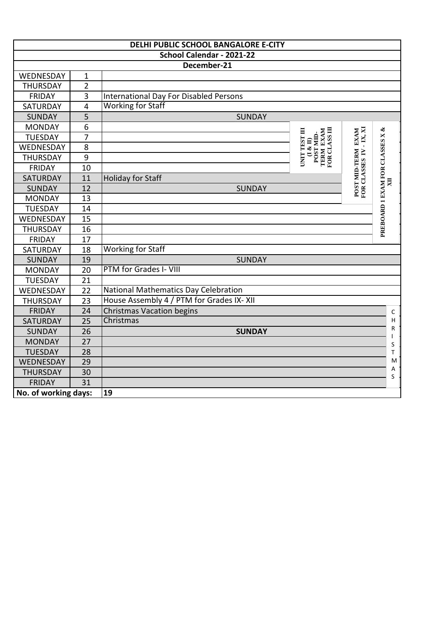|                      |                | DELHI PUBLIC SCHOOL BANGALORE E-CITY     |                                                                                                                               |                                               |                                                                                                            |
|----------------------|----------------|------------------------------------------|-------------------------------------------------------------------------------------------------------------------------------|-----------------------------------------------|------------------------------------------------------------------------------------------------------------|
|                      |                | School Calendar - 2021-22                |                                                                                                                               |                                               |                                                                                                            |
|                      |                | December-21                              |                                                                                                                               |                                               |                                                                                                            |
| WEDNESDAY            | $\mathbf{1}$   |                                          |                                                                                                                               |                                               |                                                                                                            |
| <b>THURSDAY</b>      | $\overline{2}$ |                                          |                                                                                                                               |                                               |                                                                                                            |
| <b>FRIDAY</b>        | $\overline{3}$ | International Day For Disabled Persons   |                                                                                                                               |                                               |                                                                                                            |
| SATURDAY             | $\overline{4}$ | <b>Working for Staff</b>                 |                                                                                                                               |                                               |                                                                                                            |
| <b>SUNDAY</b>        | 5              | <b>SUNDAY</b>                            |                                                                                                                               |                                               |                                                                                                            |
| <b>MONDAY</b>        | 6              |                                          |                                                                                                                               |                                               |                                                                                                            |
| <b>TUESDAY</b>       | $\overline{7}$ |                                          |                                                                                                                               | $-K$ , XI                                     |                                                                                                            |
| WEDNESDAY            | 8              |                                          | TERM EXAM FOR CLASS III<br>UNIT TEST III<br>$\begin{array}{c} \text{(I & II)}\\ \text{POST} \text{ MID} \text{.} \end{array}$ |                                               |                                                                                                            |
| <b>THURSDAY</b>      | $\overline{9}$ |                                          |                                                                                                                               |                                               |                                                                                                            |
| <b>FRIDAY</b>        | 10             |                                          |                                                                                                                               |                                               |                                                                                                            |
| SATURDAY             | 11             | <b>Holiday for Staff</b>                 |                                                                                                                               |                                               | XII                                                                                                        |
| <b>SUNDAY</b>        | 12             | <b>SUNDAY</b>                            |                                                                                                                               | POST MID-TERM EXAM<br>FOR CLASSES IV - IX, XI | PREBOARD 1 EXAM FOR CLASSES X &                                                                            |
| <b>MONDAY</b>        | 13             |                                          |                                                                                                                               |                                               |                                                                                                            |
| <b>TUESDAY</b>       | 14             |                                          |                                                                                                                               |                                               |                                                                                                            |
| WEDNESDAY            | 15             |                                          |                                                                                                                               |                                               |                                                                                                            |
| <b>THURSDAY</b>      | 16             |                                          |                                                                                                                               |                                               |                                                                                                            |
| <b>FRIDAY</b>        | 17             |                                          |                                                                                                                               |                                               |                                                                                                            |
| <b>SATURDAY</b>      | 18             | <b>Working for Staff</b>                 |                                                                                                                               |                                               |                                                                                                            |
| <b>SUNDAY</b>        | 19             | <b>SUNDAY</b>                            |                                                                                                                               |                                               |                                                                                                            |
| <b>MONDAY</b>        | 20             | PTM for Grades I- VIII                   |                                                                                                                               |                                               |                                                                                                            |
| <b>TUESDAY</b>       | 21             |                                          |                                                                                                                               |                                               |                                                                                                            |
| WEDNESDAY            | 22             | National Mathematics Day Celebration     |                                                                                                                               |                                               |                                                                                                            |
| <b>THURSDAY</b>      | 23             | House Assembly 4 / PTM for Grades IX-XII |                                                                                                                               |                                               |                                                                                                            |
| <b>FRIDAY</b>        | 24             | Christmas Vacation begins                |                                                                                                                               |                                               | $\mathsf C$                                                                                                |
| SATURDAY             | 25             | Christmas                                |                                                                                                                               |                                               | $\sf H$                                                                                                    |
| <b>SUNDAY</b>        | 26             | <b>SUNDAY</b>                            |                                                                                                                               |                                               | R                                                                                                          |
| <b>MONDAY</b>        | 27             |                                          |                                                                                                                               |                                               | S                                                                                                          |
| <b>TUESDAY</b>       | 28             |                                          |                                                                                                                               |                                               | T                                                                                                          |
| WEDNESDAY            | 29             |                                          |                                                                                                                               |                                               | $\mathsf{M}% _{T}=\mathsf{M}_{T}\!\left( a,b\right) ,\ \mathsf{M}_{T}=\mathsf{M}_{T}\!\left( a,b\right) ,$ |
| <b>THURSDAY</b>      | 30             |                                          |                                                                                                                               |                                               | А<br>S                                                                                                     |
| <b>FRIDAY</b>        | 31             |                                          |                                                                                                                               |                                               |                                                                                                            |
| No. of working days: |                | 19                                       |                                                                                                                               |                                               |                                                                                                            |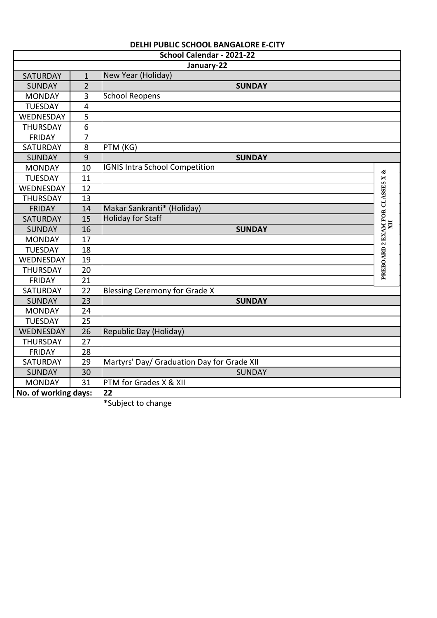|                      |                         | DELHI PUBLIC SCHOOL BANGALORE E-CITY       |                                 |
|----------------------|-------------------------|--------------------------------------------|---------------------------------|
|                      |                         | School Calendar - 2021-22                  |                                 |
|                      |                         | January-22                                 |                                 |
| SATURDAY             | $\mathbf{1}$            | New Year (Holiday)                         |                                 |
| <b>SUNDAY</b>        | $\overline{2}$          | <b>SUNDAY</b>                              |                                 |
| <b>MONDAY</b>        | $\overline{3}$          | <b>School Reopens</b>                      |                                 |
| <b>TUESDAY</b>       | $\overline{\mathbf{4}}$ |                                            |                                 |
| WEDNESDAY            | $\overline{5}$          |                                            |                                 |
| <b>THURSDAY</b>      | 6                       |                                            |                                 |
| <b>FRIDAY</b>        | $\overline{7}$          |                                            |                                 |
| SATURDAY             | 8                       | PTM (KG)                                   |                                 |
| <b>SUNDAY</b>        | 9                       | <b>SUNDAY</b>                              |                                 |
| <b>MONDAY</b>        | 10                      | <b>IGNIS Intra School Competition</b>      |                                 |
| <b>TUESDAY</b>       | 11                      |                                            |                                 |
| WEDNESDAY            | 12                      |                                            | PREBOARD 2 EXAM FOR CLASSES X & |
| <b>THURSDAY</b>      | 13                      |                                            |                                 |
| <b>FRIDAY</b>        | 14                      | Makar Sankranti* (Holiday)                 |                                 |
| <b>SATURDAY</b>      | 15                      | <b>Holiday for Staff</b>                   |                                 |
| <b>SUNDAY</b>        | 16                      | <b>SUNDAY</b>                              | $\overline{\mathbf{M}}$         |
| <b>MONDAY</b>        | 17                      |                                            |                                 |
| <b>TUESDAY</b>       | 18                      |                                            |                                 |
| WEDNESDAY            | 19                      |                                            |                                 |
| <b>THURSDAY</b>      | 20                      |                                            |                                 |
| <b>FRIDAY</b>        | 21                      |                                            |                                 |
| <b>SATURDAY</b>      | 22                      | <b>Blessing Ceremony for Grade X</b>       |                                 |
| <b>SUNDAY</b>        | $\overline{23}$         | <b>SUNDAY</b>                              |                                 |
| <b>MONDAY</b>        | 24                      |                                            |                                 |
| <b>TUESDAY</b>       | $\overline{25}$         |                                            |                                 |
| WEDNESDAY            | 26                      | Republic Day (Holiday)                     |                                 |
| <b>THURSDAY</b>      | 27                      |                                            |                                 |
| <b>FRIDAY</b>        | 28                      |                                            |                                 |
| SATURDAY             | 29                      | Martyrs' Day/ Graduation Day for Grade XII |                                 |
| <b>SUNDAY</b>        | 30                      | <b>SUNDAY</b>                              |                                 |
| <b>MONDAY</b>        | 31                      | PTM for Grades X & XII                     |                                 |
| No. of working days: |                         | 22                                         |                                 |
|                      |                         | *Subject to change                         |                                 |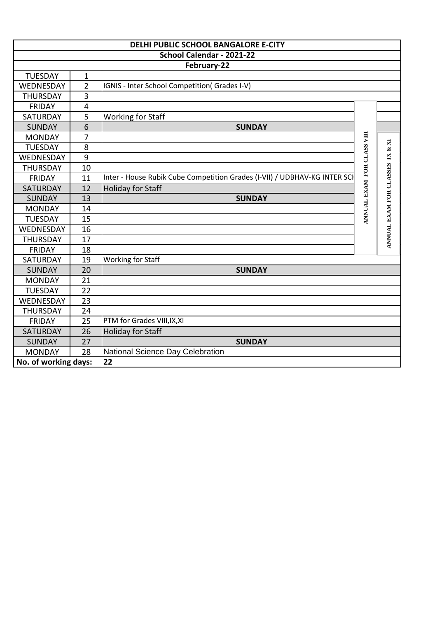|                      |                         | DELHI PUBLIC SCHOOL BANGALORE E-CITY                                      |                            |                            |
|----------------------|-------------------------|---------------------------------------------------------------------------|----------------------------|----------------------------|
|                      |                         | School Calendar - 2021-22                                                 |                            |                            |
|                      |                         | February-22                                                               |                            |                            |
| <b>TUESDAY</b>       | $\mathbf{1}$            |                                                                           |                            |                            |
| WEDNESDAY            | $\overline{2}$          | IGNIS - Inter School Competition(Grades I-V)                              |                            |                            |
| <b>THURSDAY</b>      | 3                       |                                                                           |                            |                            |
| <b>FRIDAY</b>        | $\overline{\mathbf{4}}$ |                                                                           |                            |                            |
| SATURDAY             | 5                       | <b>Working for Staff</b>                                                  |                            |                            |
| <b>SUNDAY</b>        | 6                       | <b>SUNDAY</b>                                                             |                            |                            |
| <b>MONDAY</b>        | 7                       |                                                                           | ANNUAL EXAM FOR CLASS VIII |                            |
| <b>TUESDAY</b>       | 8                       |                                                                           |                            | $\mathbf{X}$               |
| WEDNESDAY            | $\overline{9}$          |                                                                           |                            |                            |
| <b>THURSDAY</b>      | 10                      |                                                                           |                            |                            |
| <b>FRIDAY</b>        | 11                      | Inter - House Rubik Cube Competition Grades (I-VII) / UDBHAV-KG INTER SCH |                            |                            |
| <b>SATURDAY</b>      | 12                      | <b>Holiday for Staff</b>                                                  |                            |                            |
| <b>SUNDAY</b>        | 13                      | <b>SUNDAY</b>                                                             |                            |                            |
| <b>MONDAY</b>        | 14                      |                                                                           |                            |                            |
| <b>TUESDAY</b>       | 15                      |                                                                           |                            | ANNUAL EXAM FOR CLASSES IX |
| WEDNESDAY            | 16                      |                                                                           |                            |                            |
| <b>THURSDAY</b>      | 17                      |                                                                           |                            |                            |
| <b>FRIDAY</b>        | 18                      |                                                                           |                            |                            |
| <b>SATURDAY</b>      | 19                      | Working for Staff                                                         |                            |                            |
| <b>SUNDAY</b>        | 20                      | <b>SUNDAY</b>                                                             |                            |                            |
| <b>MONDAY</b>        | 21                      |                                                                           |                            |                            |
| <b>TUESDAY</b>       | 22                      |                                                                           |                            |                            |
| WEDNESDAY            | 23                      |                                                                           |                            |                            |
| <b>THURSDAY</b>      | 24                      |                                                                           |                            |                            |
| <b>FRIDAY</b>        | 25                      | PTM for Grades VIII, IX, XI                                               |                            |                            |
| <b>SATURDAY</b>      | 26                      | <b>Holiday for Staff</b>                                                  |                            |                            |
| <b>SUNDAY</b>        | 27                      | <b>SUNDAY</b>                                                             |                            |                            |
| <b>MONDAY</b>        | 28                      | National Science Day Celebration                                          |                            |                            |
| No. of working days: |                         | 22                                                                        |                            |                            |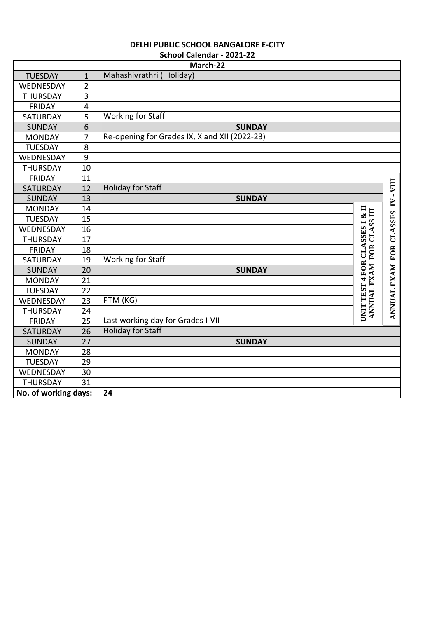|                      |                         | March-22                                      |                                                             |                         |
|----------------------|-------------------------|-----------------------------------------------|-------------------------------------------------------------|-------------------------|
| <b>TUESDAY</b>       | $\mathbf{1}$            | Mahashivrathri (Holiday)                      |                                                             |                         |
| WEDNESDAY            | $\overline{2}$          |                                               |                                                             |                         |
| <b>THURSDAY</b>      | 3                       |                                               |                                                             |                         |
| <b>FRIDAY</b>        | $\overline{\mathbf{4}}$ |                                               |                                                             |                         |
| SATURDAY             | $\overline{5}$          | <b>Working for Staff</b>                      |                                                             |                         |
| <b>SUNDAY</b>        | 6                       | <b>SUNDAY</b>                                 |                                                             |                         |
| <b>MONDAY</b>        | 7                       | Re-opening for Grades IX, X and XII (2022-23) |                                                             |                         |
| <b>TUESDAY</b>       | 8                       |                                               |                                                             |                         |
| WEDNESDAY            | 9                       |                                               |                                                             |                         |
| <b>THURSDAY</b>      | 10                      |                                               |                                                             |                         |
| <b>FRIDAY</b>        | 11                      |                                               |                                                             |                         |
| <b>SATURDAY</b>      | 12                      | <b>Holiday for Staff</b>                      |                                                             | VIII                    |
| <b>SUNDAY</b>        | 13                      | <b>SUNDAY</b>                                 |                                                             | $\mathbf{r}$<br>$\geq$  |
| <b>MONDAY</b>        | 14                      |                                               |                                                             |                         |
| <b>TUESDAY</b>       | 15                      |                                               |                                                             |                         |
| WEDNESDAY            | 16                      |                                               |                                                             |                         |
| <b>THURSDAY</b>      | 17                      |                                               |                                                             |                         |
| <b>FRIDAY</b>        | 18                      |                                               |                                                             |                         |
| SATURDAY             | 19                      | <b>Working for Staff</b>                      |                                                             |                         |
| <b>SUNDAY</b>        | 20                      | <b>SUNDAY</b>                                 | UNIT TEST 4 FOR CLASSES I & II<br>ANNUAL EXAM FOR CLASS III | ANNUAL EXAM FOR CLASSES |
| <b>MONDAY</b>        | 21                      |                                               |                                                             |                         |
| <b>TUESDAY</b>       | 22                      |                                               |                                                             |                         |
| WEDNESDAY            | 23                      | PTM (KG)                                      |                                                             |                         |
| <b>THURSDAY</b>      | 24                      |                                               |                                                             |                         |
| <b>FRIDAY</b>        | 25                      | Last working day for Grades I-VII             |                                                             |                         |
| <b>SATURDAY</b>      | 26                      | <b>Holiday for Staff</b>                      |                                                             |                         |
| <b>SUNDAY</b>        | 27                      | <b>SUNDAY</b>                                 |                                                             |                         |
| <b>MONDAY</b>        | 28                      |                                               |                                                             |                         |
| <b>TUESDAY</b>       | 29                      |                                               |                                                             |                         |
| WEDNESDAY            | 30                      |                                               |                                                             |                         |
| <b>THURSDAY</b>      | 31                      |                                               |                                                             |                         |
| No. of working days: |                         | 24                                            |                                                             |                         |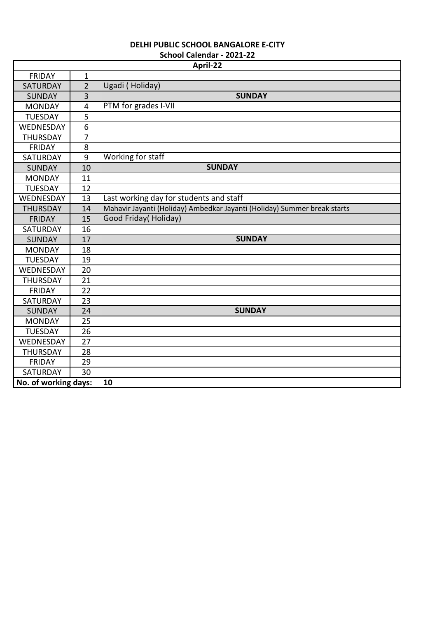|                      |                | April-22                                                                 |  |  |
|----------------------|----------------|--------------------------------------------------------------------------|--|--|
| <b>FRIDAY</b>        | 1              |                                                                          |  |  |
| <b>SATURDAY</b>      | $\overline{2}$ | Ugadi (Holiday)                                                          |  |  |
| <b>SUNDAY</b>        | 3              | <b>SUNDAY</b>                                                            |  |  |
| <b>MONDAY</b>        | $\overline{4}$ | PTM for grades I-VII                                                     |  |  |
| <b>TUESDAY</b>       | 5              |                                                                          |  |  |
| WEDNESDAY            | 6              |                                                                          |  |  |
| <b>THURSDAY</b>      | $\overline{7}$ |                                                                          |  |  |
| <b>FRIDAY</b>        | 8              |                                                                          |  |  |
| SATURDAY             | 9              | Working for staff                                                        |  |  |
| <b>SUNDAY</b>        | 10             | <b>SUNDAY</b>                                                            |  |  |
| <b>MONDAY</b>        | 11             |                                                                          |  |  |
| <b>TUESDAY</b>       | 12             |                                                                          |  |  |
| WEDNESDAY            | 13             | Last working day for students and staff                                  |  |  |
| <b>THURSDAY</b>      | 14             | Mahavir Jayanti (Holiday) Ambedkar Jayanti (Holiday) Summer break starts |  |  |
| <b>FRIDAY</b>        | 15             | Good Friday(Holiday)                                                     |  |  |
| SATURDAY             | 16             |                                                                          |  |  |
| <b>SUNDAY</b>        | 17             | <b>SUNDAY</b>                                                            |  |  |
| <b>MONDAY</b>        | 18             |                                                                          |  |  |
| <b>TUESDAY</b>       | 19             |                                                                          |  |  |
| WEDNESDAY            | 20             |                                                                          |  |  |
| <b>THURSDAY</b>      | 21             |                                                                          |  |  |
| <b>FRIDAY</b>        | 22             |                                                                          |  |  |
| <b>SATURDAY</b>      | 23             |                                                                          |  |  |
| <b>SUNDAY</b>        | 24             | <b>SUNDAY</b>                                                            |  |  |
| <b>MONDAY</b>        | 25             |                                                                          |  |  |
| <b>TUESDAY</b>       | 26             |                                                                          |  |  |
| WEDNESDAY            | 27             |                                                                          |  |  |
| <b>THURSDAY</b>      | 28             |                                                                          |  |  |
| <b>FRIDAY</b>        | 29             |                                                                          |  |  |
| <b>SATURDAY</b>      | 30             |                                                                          |  |  |
| No. of working days: |                | 10                                                                       |  |  |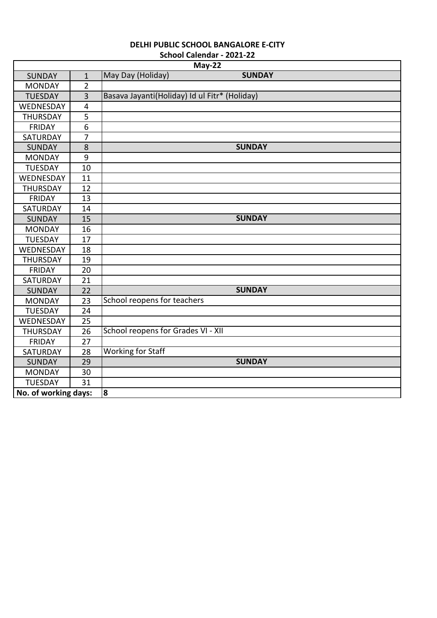| <b>DELHI PUBLIC SCHOOL BANGALORE E-CITY</b> |
|---------------------------------------------|
| School Calendar - 2021-22                   |

| May-22               |                |                                               |               |  |
|----------------------|----------------|-----------------------------------------------|---------------|--|
| <b>SUNDAY</b>        | $\mathbf{1}$   | May Day (Holiday)                             | <b>SUNDAY</b> |  |
| <b>MONDAY</b>        | $\overline{2}$ |                                               |               |  |
| <b>TUESDAY</b>       | $\overline{3}$ | Basava Jayanti(Holiday) Id ul Fitr* (Holiday) |               |  |
| WEDNESDAY            | 4              |                                               |               |  |
| <b>THURSDAY</b>      | 5              |                                               |               |  |
| <b>FRIDAY</b>        | 6              |                                               |               |  |
| SATURDAY             | $\overline{7}$ |                                               |               |  |
| <b>SUNDAY</b>        | 8              |                                               | <b>SUNDAY</b> |  |
| <b>MONDAY</b>        | 9              |                                               |               |  |
| <b>TUESDAY</b>       | 10             |                                               |               |  |
| WEDNESDAY            | 11             |                                               |               |  |
| <b>THURSDAY</b>      | 12             |                                               |               |  |
| <b>FRIDAY</b>        | 13             |                                               |               |  |
| SATURDAY             | 14             |                                               |               |  |
| <b>SUNDAY</b>        | 15             |                                               | <b>SUNDAY</b> |  |
| <b>MONDAY</b>        | 16             |                                               |               |  |
| <b>TUESDAY</b>       | 17             |                                               |               |  |
| WEDNESDAY            | 18             |                                               |               |  |
| <b>THURSDAY</b>      | 19             |                                               |               |  |
| <b>FRIDAY</b>        | 20             |                                               |               |  |
| SATURDAY             | 21             |                                               |               |  |
| <b>SUNDAY</b>        | 22             |                                               | <b>SUNDAY</b> |  |
| <b>MONDAY</b>        | 23             | School reopens for teachers                   |               |  |
| <b>TUESDAY</b>       | 24             |                                               |               |  |
| WEDNESDAY            | 25             |                                               |               |  |
| <b>THURSDAY</b>      | 26             | School reopens for Grades VI - XII            |               |  |
| <b>FRIDAY</b>        | 27             |                                               |               |  |
| <b>SATURDAY</b>      | 28             | <b>Working for Staff</b>                      |               |  |
| <b>SUNDAY</b>        | 29             |                                               | <b>SUNDAY</b> |  |
| <b>MONDAY</b>        | 30             |                                               |               |  |
| <b>TUESDAY</b>       | 31             |                                               |               |  |
| No. of working days: |                | 8                                             |               |  |